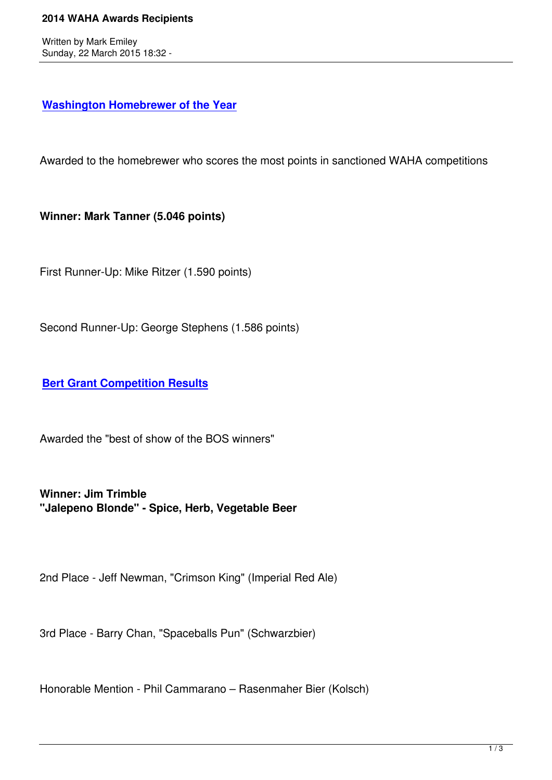## **Washington Homebrewer of the Year**

[Awarded to the homebrewer who scores](waha-home/146?task=view) the most points in sanctioned WAHA competitions

**Winner: Mark Tanner (5.046 points)**

First Runner-Up: Mike Ritzer (1.590 points)

Second Runner-Up: George Stephens (1.586 points)

**Bert Grant Competition Results**

[Awarded the "best of show of the B](waha-home/147?task=view)OS winners"

**Winner: Jim Trimble "Jalepeno Blonde" - Spice, Herb, Vegetable Beer**

2nd Place - Jeff Newman, "Crimson King" (Imperial Red Ale)

3rd Place - Barry Chan, "Spaceballs Pun" (Schwarzbier)

Honorable Mention - Phil Cammarano – Rasenmaher Bier (Kolsch)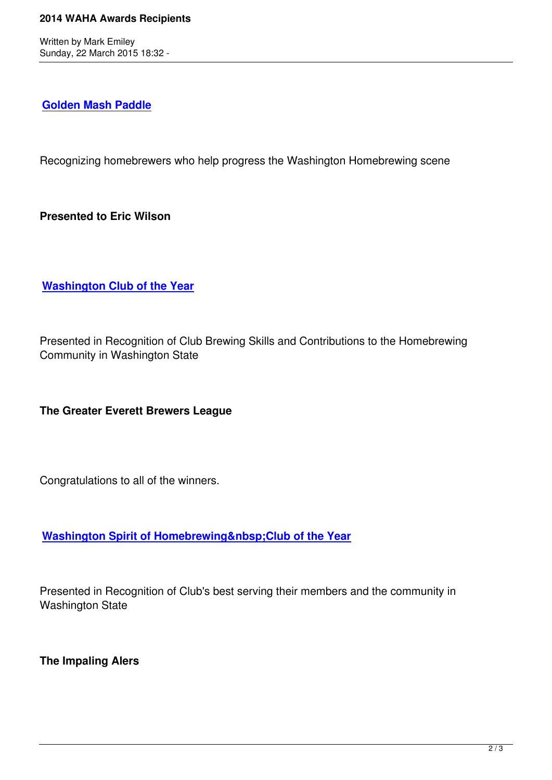## **Golden Mash Paddle**

[Recognizing homebrew](about-us/waha-projects/158?task=view)ers who help progress the Washington Homebrewing scene

**Presented to Eric Wilson**

**Washington Club of the Year**

[Presented in Recognition of Clu](awards/180)b Brewing Skills and Contributions to the Homebrewing Community in Washington State

**The Greater Everett Brewers League**

Congratulations to all of the winners.

**Washington Spirit of Homebrewing Club of the Year** 

[Presented in Recognition of Club's best serving their members a](awards/392)nd the community in Washington State

**The Impaling Alers**